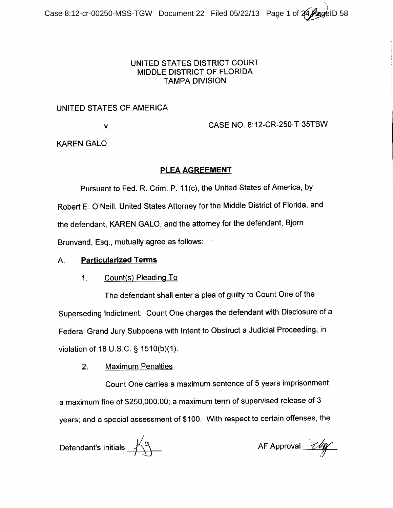# UNITED STATES DISTRICT COURT MIDDLE DISTRICT OF FLORIDA **TAMPA DIVISION**

# UNITED STATES OF AMERICA

V.

CASE NO. 8:12-CR-250-T-35TBW

**KAREN GALO** 

# PLEA AGREEMENT

Pursuant to Fed. R. Crim. P. 11(c), the United States of America, by Robert E. O'Neill, United States Attorney for the Middle District of Florida, and the defendant, KAREN GALO, and the attorney for the defendant, Bjorn Brunvand, Esg., mutually agree as follows:

## А. **Particularized Terms**

## Count(s) Pleading To  $1<sub>1</sub>$

The defendant shall enter a plea of guilty to Count One of the Superseding Indictment. Count One charges the defendant with Disclosure of a Federal Grand Jury Subpoena with Intent to Obstruct a Judicial Proceeding, in violation of 18 U.S.C. § 1510(b)(1).

**Maximum Penalties**  $2<sub>1</sub>$ 

Count One carries a maximum sentence of 5 years imprisonment; a maximum fine of \$250,000.00; a maximum term of supervised release of 3 years; and a special assessment of \$100. With respect to certain offenses, the

Defendant's Initials  $\overbrace{\phantom{a}}^{\bigwedge\limits_{\mathcal{N}}}\hspace{-0.1cm} \mathcal{A}$ 

AF Approval 11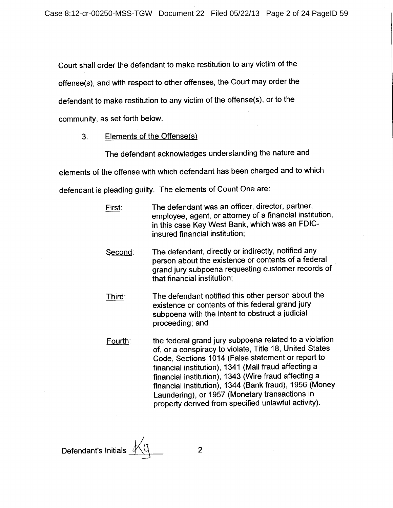Court shall order the defendant to make restitution to any victim of the offense(s), and with respect to other offenses, the Court may order the defendant to make restitution to any victim of the offense(s), or to the community, as set forth below.

Elements of the Offense(s)  $3.$ 

The defendant acknowledges understanding the nature and elements of the offense with which defendant has been charged and to which defendant is pleading guilty. The elements of Count One are:

| First:  | The defendant was an officer, director, partner,<br>employee, agent, or attorney of a financial institution,<br>in this case Key West Bank, which was an FDIC-<br>insured financial institution;                                                                                                                                                                                                                                                          |
|---------|-----------------------------------------------------------------------------------------------------------------------------------------------------------------------------------------------------------------------------------------------------------------------------------------------------------------------------------------------------------------------------------------------------------------------------------------------------------|
| Second: | The defendant, directly or indirectly, notified any<br>person about the existence or contents of a federal<br>grand jury subpoena requesting customer records of<br>that financial institution;                                                                                                                                                                                                                                                           |
| Third:  | The defendant notified this other person about the<br>existence or contents of this federal grand jury<br>subpoena with the intent to obstruct a judicial<br>proceeding; and                                                                                                                                                                                                                                                                              |
| Fourth: | the federal grand jury subpoena related to a violation<br>of, or a conspiracy to violate, Title 18, United States<br>Code, Sections 1014 (False statement or report to<br>financial institution), 1341 (Mail fraud affecting a<br>financial institution), 1343 (Wire fraud affecting a<br>financial institution), 1344 (Bank fraud), 1956 (Money<br>Laundering), or 1957 (Monetary transactions in<br>property derived from specified unlawful activity). |

Defendant's Initials \_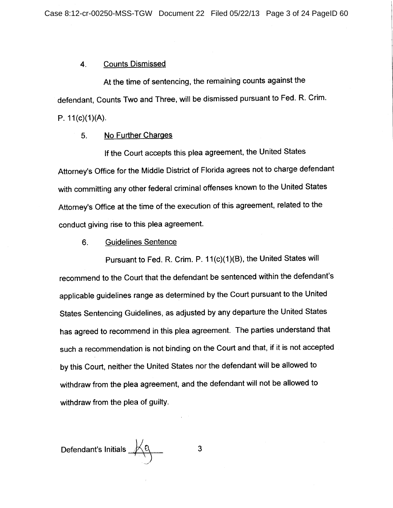#### **Counts Dismissed** 4.

At the time of sentencing, the remaining counts against the defendant, Counts Two and Three, will be dismissed pursuant to Fed. R. Crim. P.  $11(c)(1)(A)$ .

### 5. No Further Charges

If the Court accepts this plea agreement, the United States Attorney's Office for the Middle District of Florida agrees not to charge defendant with committing any other federal criminal offenses known to the United States Attorney's Office at the time of the execution of this agreement, related to the conduct giving rise to this plea agreement.

#### **Guidelines Sentence** 6.

Pursuant to Fed. R. Crim. P. 11(c)(1)(B), the United States will recommend to the Court that the defendant be sentenced within the defendant's applicable guidelines range as determined by the Court pursuant to the United States Sentencing Guidelines, as adjusted by any departure the United States has agreed to recommend in this plea agreement. The parties understand that such a recommendation is not binding on the Court and that, if it is not accepted by this Court, neither the United States nor the defendant will be allowed to withdraw from the plea agreement, and the defendant will not be allowed to withdraw from the plea of guilty.

Defendant's Initials  $\mathcal{A}^{\mathbb{Q}}$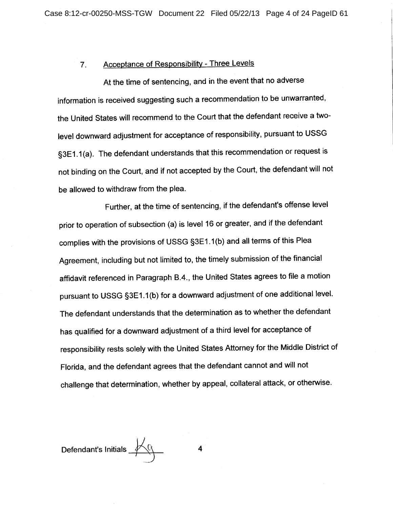#### **Acceptance of Responsibility - Three Levels**  $7<sub>1</sub>$

At the time of sentencing, and in the event that no adverse information is received suggesting such a recommendation to be unwarranted, the United States will recommend to the Court that the defendant receive a twolevel downward adjustment for acceptance of responsibility, pursuant to USSG §3E1.1(a). The defendant understands that this recommendation or request is not binding on the Court, and if not accepted by the Court, the defendant will not be allowed to withdraw from the plea.

Further, at the time of sentencing, if the defendant's offense level prior to operation of subsection (a) is level 16 or greater, and if the defendant complies with the provisions of USSG §3E1.1(b) and all terms of this Plea Agreement, including but not limited to, the timely submission of the financial affidavit referenced in Paragraph B.4., the United States agrees to file a motion pursuant to USSG §3E1.1(b) for a downward adjustment of one additional level. The defendant understands that the determination as to whether the defendant has qualified for a downward adjustment of a third level for acceptance of responsibility rests solely with the United States Attorney for the Middle District of Florida, and the defendant agrees that the defendant cannot and will not challenge that determination, whether by appeal, collateral attack, or otherwise.

Defendant's Initials  $\mathcal{A}$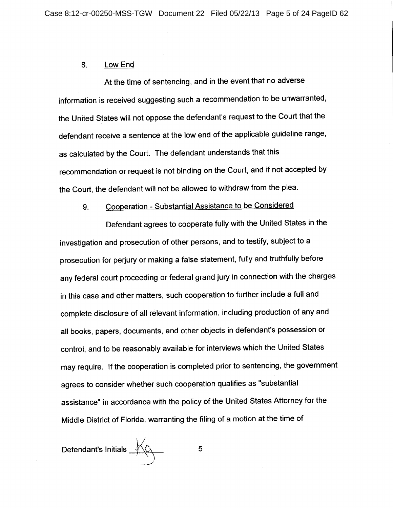#### 8. Low End

At the time of sentencing, and in the event that no adverse information is received suggesting such a recommendation to be unwarranted, the United States will not oppose the defendant's request to the Court that the defendant receive a sentence at the low end of the applicable guideline range, as calculated by the Court. The defendant understands that this recommendation or request is not binding on the Court, and if not accepted by the Court, the defendant will not be allowed to withdraw from the plea.

# Cooperation - Substantial Assistance to be Considered 9.

Defendant agrees to cooperate fully with the United States in the investigation and prosecution of other persons, and to testify, subject to a prosecution for perjury or making a false statement, fully and truthfully before any federal court proceeding or federal grand jury in connection with the charges in this case and other matters, such cooperation to further include a full and complete disclosure of all relevant information, including production of any and all books, papers, documents, and other objects in defendant's possession or control, and to be reasonably available for interviews which the United States may require. If the cooperation is completed prior to sentencing, the government agrees to consider whether such cooperation qualifies as "substantial assistance" in accordance with the policy of the United States Attorney for the Middle District of Florida, warranting the filing of a motion at the time of

Defendant's Initials  $\overbrace{\phantom{a}}^{\cancel{a}}$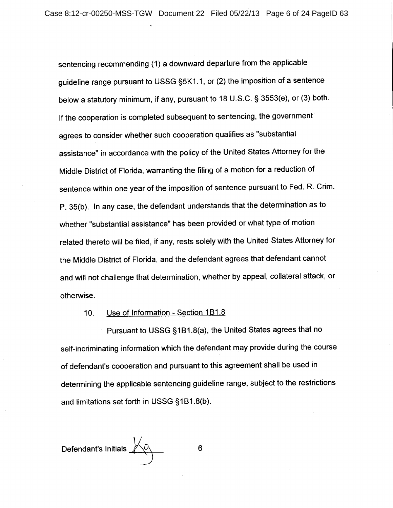sentencing recommending (1) a downward departure from the applicable guideline range pursuant to USSG §5K1.1, or (2) the imposition of a sentence below a statutory minimum, if any, pursuant to 18 U.S.C. § 3553(e), or (3) both. If the cooperation is completed subsequent to sentencing, the government agrees to consider whether such cooperation qualifies as "substantial assistance" in accordance with the policy of the United States Attorney for the Middle District of Florida, warranting the filing of a motion for a reduction of sentence within one year of the imposition of sentence pursuant to Fed. R. Crim. P. 35(b). In any case, the defendant understands that the determination as to whether "substantial assistance" has been provided or what type of motion related thereto will be filed, if any, rests solely with the United States Attorney for the Middle District of Florida, and the defendant agrees that defendant cannot and will not challenge that determination, whether by appeal, collateral attack, or otherwise.

#### Use of Information - Section 1B1.8 10.

Pursuant to USSG §1B1.8(a), the United States agrees that no self-incriminating information which the defendant may provide during the course of defendant's cooperation and pursuant to this agreement shall be used in determining the applicable sentencing guideline range, subject to the restrictions and limitations set forth in USSG §1B1.8(b).

Defendant's Initials X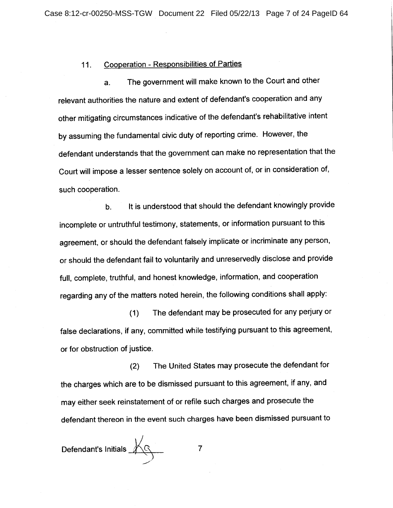## **Cooperation - Responsibilities of Parties**  $11.$

The government will make known to the Court and other a. relevant authorities the nature and extent of defendant's cooperation and any other mitigating circumstances indicative of the defendant's rehabilitative intent by assuming the fundamental civic duty of reporting crime. However, the defendant understands that the government can make no representation that the Court will impose a lesser sentence solely on account of, or in consideration of, such cooperation.

It is understood that should the defendant knowingly provide  $b<sub>1</sub>$ incomplete or untruthful testimony, statements, or information pursuant to this agreement, or should the defendant falsely implicate or incriminate any person, or should the defendant fail to voluntarily and unreservedly disclose and provide full, complete, truthful, and honest knowledge, information, and cooperation regarding any of the matters noted herein, the following conditions shall apply:

The defendant may be prosecuted for any perjury or  $(1)$ false declarations, if any, committed while testifying pursuant to this agreement, or for obstruction of justice.

The United States may prosecute the defendant for  $(2)$ the charges which are to be dismissed pursuant to this agreement, if any, and may either seek reinstatement of or refile such charges and prosecute the defendant thereon in the event such charges have been dismissed pursuant to

 $\overline{7}$ 

Defendant's Initials AG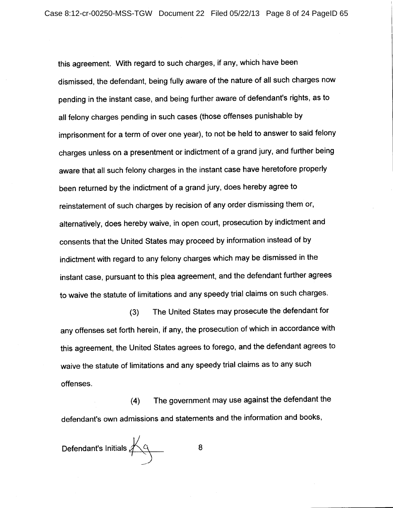this agreement. With regard to such charges, if any, which have been dismissed, the defendant, being fully aware of the nature of all such charges now pending in the instant case, and being further aware of defendant's rights, as to all felony charges pending in such cases (those offenses punishable by imprisonment for a term of over one year), to not be held to answer to said felony charges unless on a presentment or indictment of a grand jury, and further being aware that all such felony charges in the instant case have heretofore properly been returned by the indictment of a grand jury, does hereby agree to reinstatement of such charges by recision of any order dismissing them or, alternatively, does hereby waive, in open court, prosecution by indictment and consents that the United States may proceed by information instead of by indictment with regard to any felony charges which may be dismissed in the instant case, pursuant to this plea agreement, and the defendant further agrees to waive the statute of limitations and any speedy trial claims on such charges.

The United States may prosecute the defendant for  $(3)$ any offenses set forth herein, if any, the prosecution of which in accordance with this agreement, the United States agrees to forego, and the defendant agrees to waive the statute of limitations and any speedy trial claims as to any such offenses.

The government may use against the defendant the  $(4)$ defendant's own admissions and statements and the information and books,

Defendant's Initials  $\overline{\mathcal{A}_9}$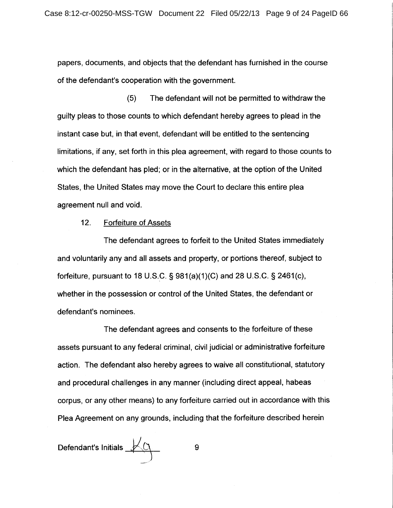papers, documents, and objects that the defendant has furnished in the course of the defendant's cooperation with the government.

The defendant will not be permitted to withdraw the  $(5)$ guilty pleas to those counts to which defendant hereby agrees to plead in the instant case but, in that event, defendant will be entitled to the sentencing limitations, if any, set forth in this plea agreement, with regard to those counts to which the defendant has pled; or in the alternative, at the option of the United States, the United States may move the Court to declare this entire plea agreement null and void.

#### $12.$ **Forfeiture of Assets**

The defendant agrees to forfeit to the United States immediately and voluntarily any and all assets and property, or portions thereof, subject to forfeiture, pursuant to 18 U.S.C. § 981(a)(1)(C) and 28 U.S.C. § 2461(c), whether in the possession or control of the United States, the defendant or defendant's nominees.

The defendant agrees and consents to the forfeiture of these assets pursuant to any federal criminal, civil judicial or administrative forfeiture action. The defendant also hereby agrees to waive all constitutional, statutory and procedural challenges in any manner (including direct appeal, habeas corpus, or any other means) to any forfeiture carried out in accordance with this Plea Agreement on any grounds, including that the forfeiture described herein

Defendant's Initials  $\mathcal{L}$ 

9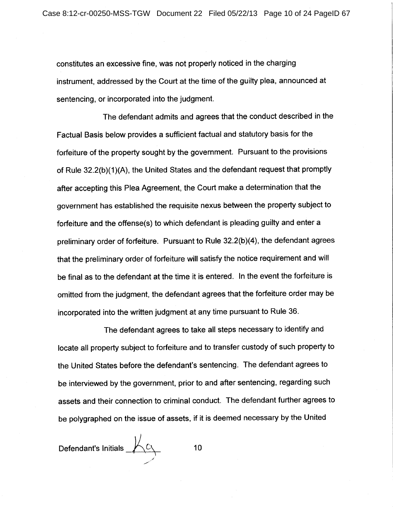constitutes an excessive fine, was not properly noticed in the charging instrument, addressed by the Court at the time of the guilty plea, announced at sentencing, or incorporated into the judgment.

The defendant admits and agrees that the conduct described in the Factual Basis below provides a sufficient factual and statutory basis for the forfeiture of the property sought by the government. Pursuant to the provisions of Rule 32.2(b)(1)(A), the United States and the defendant request that promptly after accepting this Plea Agreement, the Court make a determination that the government has established the requisite nexus between the property subject to forfeiture and the offense(s) to which defendant is pleading guilty and enter a preliminary order of forfeiture. Pursuant to Rule 32.2(b)(4), the defendant agrees that the preliminary order of forfeiture will satisfy the notice requirement and will be final as to the defendant at the time it is entered. In the event the forfeiture is omitted from the judgment, the defendant agrees that the forfeiture order may be incorporated into the written judgment at any time pursuant to Rule 36.

The defendant agrees to take all steps necessary to identify and locate all property subject to forfeiture and to transfer custody of such property to the United States before the defendant's sentencing. The defendant agrees to be interviewed by the government, prior to and after sentencing, regarding such assets and their connection to criminal conduct. The defendant further agrees to be polygraphed on the issue of assets, if it is deemed necessary by the United

Defendant's Initials  $\overline{\mathcal{L}}$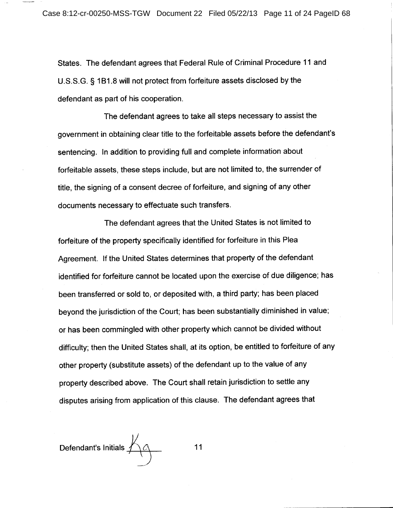States. The defendant agrees that Federal Rule of Criminal Procedure 11 and U.S.S.G. § 1B1.8 will not protect from forfeiture assets disclosed by the defendant as part of his cooperation.

The defendant agrees to take all steps necessary to assist the government in obtaining clear title to the forfeitable assets before the defendant's sentencing. In addition to providing full and complete information about forfeitable assets, these steps include, but are not limited to, the surrender of title, the signing of a consent decree of forfeiture, and signing of any other documents necessary to effectuate such transfers.

The defendant agrees that the United States is not limited to forfeiture of the property specifically identified for forfeiture in this Plea Agreement. If the United States determines that property of the defendant identified for forfeiture cannot be located upon the exercise of due diligence; has been transferred or sold to, or deposited with, a third party; has been placed beyond the jurisdiction of the Court; has been substantially diminished in value; or has been commingled with other property which cannot be divided without difficulty; then the United States shall, at its option, be entitled to forfeiture of any other property (substitute assets) of the defendant up to the value of any property described above. The Court shall retain jurisdiction to settle any disputes arising from application of this clause. The defendant agrees that

Defendant's Initials  $\overline{\mathcal{A}}$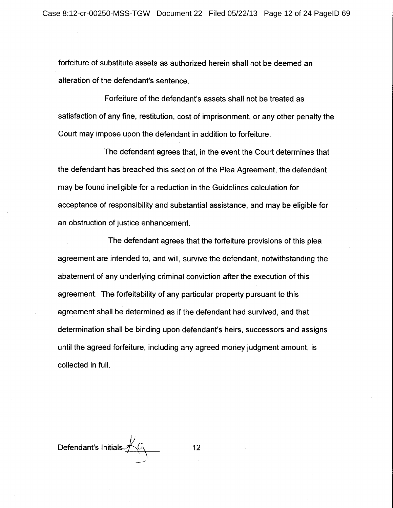forfeiture of substitute assets as authorized herein shall not be deemed an alteration of the defendant's sentence.

Forfeiture of the defendant's assets shall not be treated as satisfaction of any fine, restitution, cost of imprisonment, or any other penalty the Court may impose upon the defendant in addition to forfeiture.

The defendant agrees that, in the event the Court determines that the defendant has breached this section of the Plea Agreement, the defendant may be found ineligible for a reduction in the Guidelines calculation for acceptance of responsibility and substantial assistance, and may be eligible for an obstruction of justice enhancement.

The defendant agrees that the forfeiture provisions of this plea agreement are intended to, and will, survive the defendant, notwithstanding the abatement of any underlying criminal conviction after the execution of this agreement. The forfeitability of any particular property pursuant to this agreement shall be determined as if the defendant had survived, and that determination shall be binding upon defendant's heirs, successors and assigns until the agreed forfeiture, including any agreed money judgment amount, is collected in full.

Defendant's Initials  $\overbrace{\leftarrow}$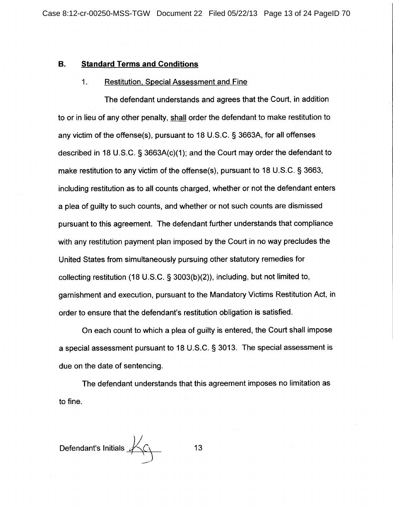### Β. **Standard Terms and Conditions**

#### $1.$ **Restitution, Special Assessment and Fine**

The defendant understands and agrees that the Court, in addition to or in lieu of any other penalty, shall order the defendant to make restitution to any victim of the offense(s), pursuant to 18 U.S.C. § 3663A, for all offenses described in 18 U.S.C.  $\S$  3663A(c)(1); and the Court may order the defendant to make restitution to any victim of the offense(s), pursuant to 18 U.S.C. § 3663, including restitution as to all counts charged, whether or not the defendant enters a plea of quilty to such counts, and whether or not such counts are dismissed pursuant to this agreement. The defendant further understands that compliance with any restitution payment plan imposed by the Court in no way precludes the United States from simultaneously pursuing other statutory remedies for collecting restitution (18 U.S.C. § 3003(b)(2)), including, but not limited to, garnishment and execution, pursuant to the Mandatory Victims Restitution Act, in order to ensure that the defendant's restitution obligation is satisfied.

On each count to which a plea of quilty is entered, the Court shall impose a special assessment pursuant to 18 U.S.C. § 3013. The special assessment is due on the date of sentencing.

The defendant understands that this agreement imposes no limitation as to fine.

Defendant's Initials  $\overline{\mathscr{L}}$ 13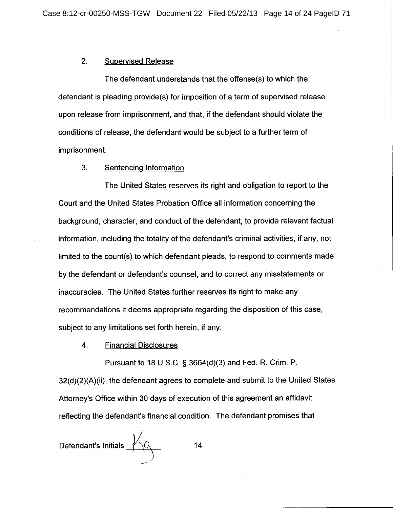### $2.$ **Supervised Release**

The defendant understands that the offense(s) to which the defendant is pleading provide(s) for imposition of a term of supervised release upon release from imprisonment, and that, if the defendant should violate the conditions of release, the defendant would be subject to a further term of imprisonment.

#### $3.$ Sentencing Information

The United States reserves its right and obligation to report to the Court and the United States Probation Office all information concerning the background, character, and conduct of the defendant, to provide relevant factual information, including the totality of the defendant's criminal activities, if any, not limited to the count(s) to which defendant pleads, to respond to comments made by the defendant or defendant's counsel, and to correct any misstatements or inaccuracies. The United States further reserves its right to make any recommendations it deems appropriate regarding the disposition of this case, subject to any limitations set forth herein, if any.

4. **Financial Disclosures** 

Pursuant to 18 U.S.C. § 3664(d)(3) and Fed. R. Crim. P.

32(d)(2)(A)(ii), the defendant agrees to complete and submit to the United States Attorney's Office within 30 days of execution of this agreement an affidavit reflecting the defendant's financial condition. The defendant promises that

Defendant's Initials  $\overbrace{\phantom{a}}^{\qquad\qquad}$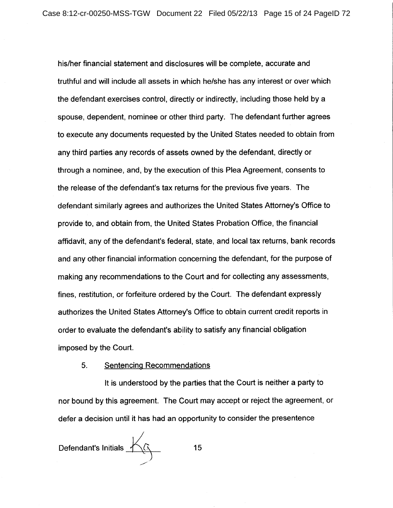his/her financial statement and disclosures will be complete, accurate and truthful and will include all assets in which he/she has any interest or over which the defendant exercises control, directly or indirectly, including those held by a spouse, dependent, nominee or other third party. The defendant further agrees to execute any documents requested by the United States needed to obtain from any third parties any records of assets owned by the defendant, directly or through a nominee, and, by the execution of this Plea Agreement, consents to the release of the defendant's tax returns for the previous five years. The defendant similarly agrees and authorizes the United States Attorney's Office to provide to, and obtain from, the United States Probation Office, the financial affidavit, any of the defendant's federal, state, and local tax returns, bank records and any other financial information concerning the defendant, for the purpose of making any recommendations to the Court and for collecting any assessments, fines, restitution, or forfeiture ordered by the Court. The defendant expressly authorizes the United States Attorney's Office to obtain current credit reports in order to evaluate the defendant's ability to satisfy any financial obligation imposed by the Court.

### **Sentencing Recommendations**  $5.$

It is understood by the parties that the Court is neither a party to nor bound by this agreement. The Court may accept or reject the agreement, or defer a decision until it has had an opportunity to consider the presentence

Defendant's Initials  $\overbrace{\hspace{1cm}}$ 

 $15<sub>15</sub>$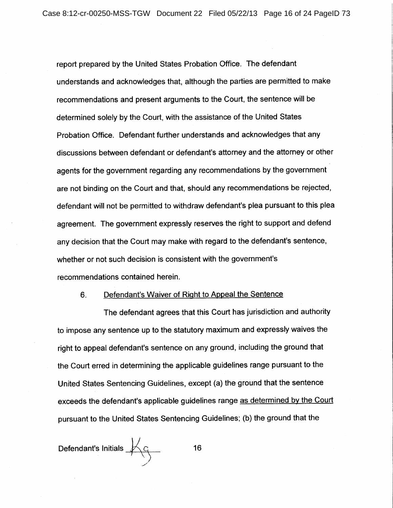report prepared by the United States Probation Office. The defendant understands and acknowledges that, although the parties are permitted to make recommendations and present arguments to the Court, the sentence will be determined solely by the Court, with the assistance of the United States Probation Office. Defendant further understands and acknowledges that any discussions between defendant or defendant's attorney and the attorney or other agents for the government regarding any recommendations by the government are not binding on the Court and that, should any recommendations be rejected, defendant will not be permitted to withdraw defendant's plea pursuant to this plea agreement. The government expressly reserves the right to support and defend any decision that the Court may make with regard to the defendant's sentence, whether or not such decision is consistent with the government's recommendations contained herein.

#### 6. Defendant's Waiver of Right to Appeal the Sentence

The defendant agrees that this Court has jurisdiction and authority to impose any sentence up to the statutory maximum and expressly waives the right to appeal defendant's sentence on any ground, including the ground that the Court erred in determining the applicable guidelines range pursuant to the United States Sentencing Guidelines, except (a) the ground that the sentence exceeds the defendant's applicable guidelines range as determined by the Court pursuant to the United States Sentencing Guidelines; (b) the ground that the

Defendant's Initials  $\overbrace{\phantom{a}}^{\qquad \qquad }$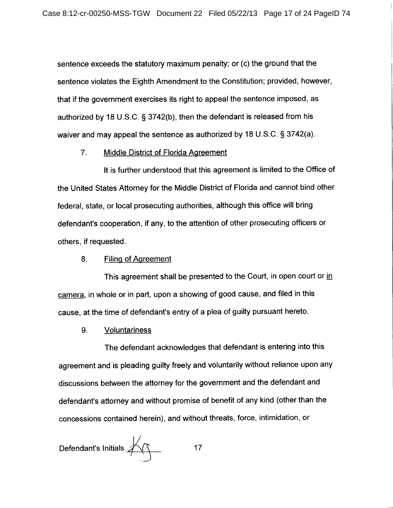sentence exceeds the statutory maximum penalty; or (c) the ground that the sentence violates the Eighth Amendment to the Constitution; provided, however, that if the government exercises its right to appeal the sentence imposed, as authorized by 18 U.S.C. § 3742(b), then the defendant is released from his waiver and may appeal the sentence as authorized by 18 U.S.C. § 3742(a).

 $7<sub>1</sub>$ **Middle District of Florida Agreement** 

It is further understood that this agreement is limited to the Office of the United States Attorney for the Middle District of Florida and cannot bind other federal, state, or local prosecuting authorities, although this office will bring defendant's cooperation, if any, to the attention of other prosecuting officers or others, if requested.

**Filing of Agreement** 8.

This agreement shall be presented to the Court, in open court or in camera, in whole or in part, upon a showing of good cause, and filed in this cause, at the time of defendant's entry of a plea of guilty pursuant hereto.

9. **Voluntariness** 

The defendant acknowledges that defendant is entering into this agreement and is pleading guilty freely and voluntarily without reliance upon any discussions between the attorney for the government and the defendant and defendant's attorney and without promise of benefit of any kind (other than the concessions contained herein), and without threats, force, intimidation, or

Defendant's Initials  $\overbrace{\phantom{a}}^{\phantom{\big|}}$  $17$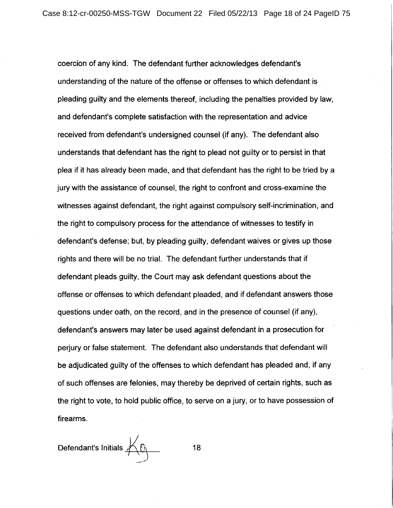coercion of any kind. The defendant further acknowledges defendant's understanding of the nature of the offense or offenses to which defendant is pleading guilty and the elements thereof, including the penalties provided by law, and defendant's complete satisfaction with the representation and advice received from defendant's undersigned counsel (if any). The defendant also understands that defendant has the right to plead not quilty or to persist in that plea if it has already been made, and that defendant has the right to be tried by a jury with the assistance of counsel, the right to confront and cross-examine the witnesses against defendant, the right against compulsory self-incrimination, and the right to compulsory process for the attendance of witnesses to testify in defendant's defense; but, by pleading guilty, defendant waives or gives up those rights and there will be no trial. The defendant further understands that if defendant pleads guilty, the Court may ask defendant questions about the offense or offenses to which defendant pleaded, and if defendant answers those questions under oath, on the record, and in the presence of counsel (if any), defendant's answers may later be used against defendant in a prosecution for perjury or false statement. The defendant also understands that defendant will be adjudicated guilty of the offenses to which defendant has pleaded and, if any of such offenses are felonies, may thereby be deprived of certain rights, such as the right to vote, to hold public office, to serve on a jury, or to have possession of firearms.

Defendant's Initials  ${\overline{\mathscr{L}}}\mathscr{E}_{\overline{\mathscr{L}}}$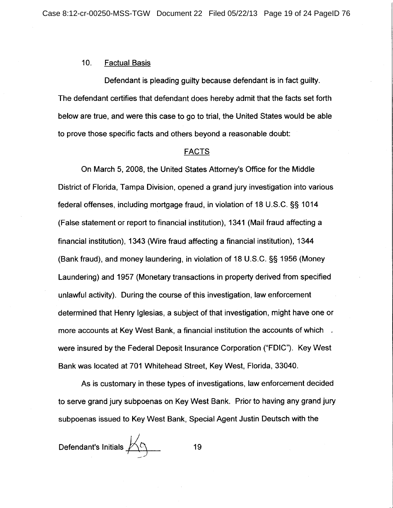#### $10.$ **Factual Basis**

Defendant is pleading guilty because defendant is in fact guilty. The defendant certifies that defendant does hereby admit that the facts set forth below are true, and were this case to go to trial, the United States would be able to prove those specific facts and others beyond a reasonable doubt:

# **FACTS**

On March 5, 2008, the United States Attorney's Office for the Middle District of Florida, Tampa Division, opened a grand jury investigation into various federal offenses, including mortgage fraud, in violation of 18 U.S.C. §§ 1014 (False statement or report to financial institution), 1341 (Mail fraud affecting a financial institution), 1343 (Wire fraud affecting a financial institution), 1344 (Bank fraud), and money laundering, in violation of 18 U.S.C. §§ 1956 (Money Laundering) and 1957 (Monetary transactions in property derived from specified unlawful activity). During the course of this investigation, law enforcement determined that Henry Iglesias, a subject of that investigation, might have one or more accounts at Key West Bank, a financial institution the accounts of which . were insured by the Federal Deposit Insurance Corporation ("FDIC"). Key West Bank was located at 701 Whitehead Street, Key West, Florida, 33040.

As is customary in these types of investigations, law enforcement decided to serve grand jury subpoenas on Key West Bank. Prior to having any grand jury subpoenas issued to Key West Bank, Special Agent Justin Deutsch with the

Defendant's Initials  $\overline{\mathcal{B}}$ 19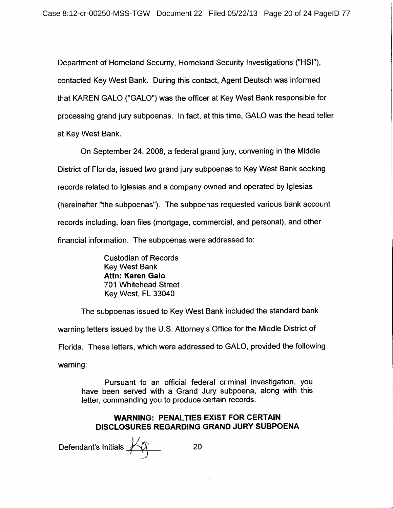Department of Homeland Security, Homeland Security Investigations ("HSI"), contacted Key West Bank. During this contact, Agent Deutsch was informed that KAREN GALO ("GALO") was the officer at Key West Bank responsible for processing grand jury subpoenas. In fact, at this time, GALO was the head teller at Key West Bank.

On September 24, 2008, a federal grand jury, convening in the Middle District of Florida, issued two grand jury subpoenas to Key West Bank seeking records related to Iglesias and a company owned and operated by Iglesias (hereinafter "the subpoenas"). The subpoenas requested various bank account records including, loan files (mortgage, commercial, and personal), and other financial information. The subpoenas were addressed to:

> **Custodian of Records** Key West Bank **Attn: Karen Galo** 701 Whitehead Street Key West, FL 33040

The subpoenas issued to Key West Bank included the standard bank warning letters issued by the U.S. Attorney's Office for the Middle District of Florida. These letters, which were addressed to GALO, provided the following warning:

Pursuant to an official federal criminal investigation, you have been served with a Grand Jury subpoena, along with this letter, commanding you to produce certain records.

# **WARNING: PENALTIES EXIST FOR CERTAIN** DISCLOSURES REGARDING GRAND JURY SUBPOENA

Defendant's Initials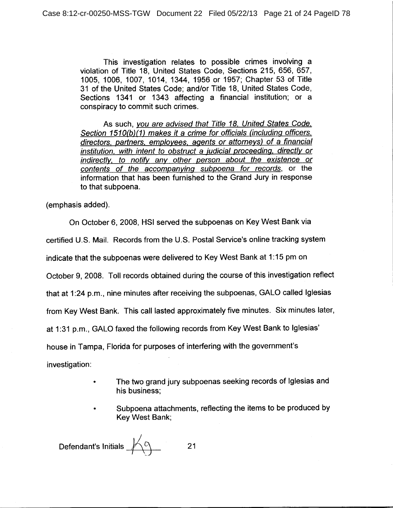This investigation relates to possible crimes involving a violation of Title 18, United States Code, Sections 215, 656, 657, 1005, 1006, 1007, 1014, 1344, 1956 or 1957; Chapter 53 of Title 31 of the United States Code; and/or Title 18, United States Code, Sections 1341 or 1343 affecting a financial institution; or a conspiracy to commit such crimes.

As such, you are advised that Title 18, United States Code, Section 1510(b)(1) makes it a crime for officials (including officers. directors, partners, employees, agents or attorneys) of a financial institution, with intent to obstruct a judicial proceeding, directly or indirectly, to notify any other person about the existence or contents of the accompanying subpoena for records, or the information that has been furnished to the Grand Jury in response to that subpoena.

(emphasis added).

On October 6, 2008, HSI served the subpoenas on Key West Bank via certified U.S. Mail. Records from the U.S. Postal Service's online tracking system indicate that the subpoenas were delivered to Key West Bank at 1:15 pm on October 9, 2008. Toll records obtained during the course of this investigation reflect that at 1:24 p.m., nine minutes after receiving the subpoenas, GALO called Iglesias from Key West Bank. This call lasted approximately five minutes. Six minutes later, at 1:31 p.m., GALO faxed the following records from Key West Bank to Iglesias' house in Tampa, Florida for purposes of interfering with the government's investigation:

- The two grand jury subpoenas seeking records of Iglesias and his business;
- Subpoena attachments, reflecting the items to be produced by Kev West Bank:

Defendant's Initials  $\overline{\mathscr{L}}$  $21$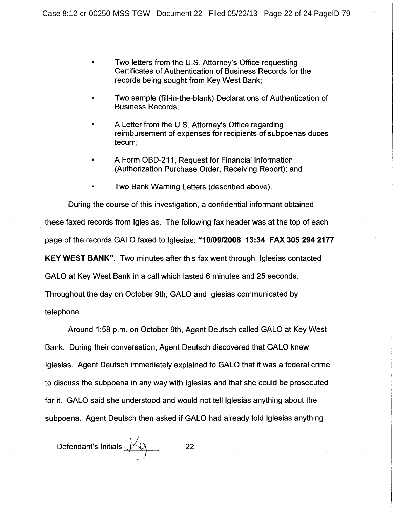- Two letters from the U.S. Attorney's Office requesting Certificates of Authentication of Business Records for the records being sought from Key West Bank;
- Two sample (fill-in-the-blank) Declarations of Authentication of **Business Records;**
- A Letter from the U.S. Attorney's Office regarding reimbursement of expenses for recipients of subpoenas duces tecum;
- A Form OBD-211, Request for Financial Information (Authorization Purchase Order, Receiving Report); and
- Two Bank Warning Letters (described above).

During the course of this investigation, a confidential informant obtained these faxed records from Iglesias. The following fax header was at the top of each page of the records GALO faxed to Iglesias: "10/09/2008 13:34 FAX 305 294 2177 **KEY WEST BANK".** Two minutes after this fax went through, Iglesias contacted GALO at Key West Bank in a call which lasted 6 minutes and 25 seconds. Throughout the day on October 9th, GALO and Iglesias communicated by

telephone.

Around 1:58 p.m. on October 9th, Agent Deutsch called GALO at Key West Bank. During their conversation, Agent Deutsch discovered that GALO knew Iglesias. Agent Deutsch immediately explained to GALO that it was a federal crime to discuss the subpoena in any way with Iglesias and that she could be prosecuted for it. GALO said she understood and would not tell Iglesias anything about the subpoena. Agent Deutsch then asked if GALO had already told Iglesias anything

Defendant's Initials  $M$ 22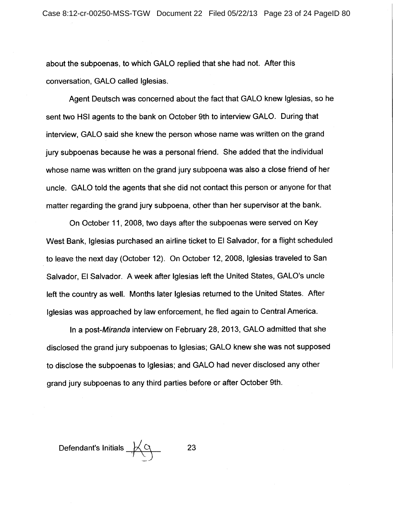about the subpoenas, to which GALO replied that she had not. After this conversation, GALO called Iglesias.

Agent Deutsch was concerned about the fact that GALO knew Iglesias, so he sent two HSI agents to the bank on October 9th to interview GALO. During that interview, GALO said she knew the person whose name was written on the grand jury subpoenas because he was a personal friend. She added that the individual whose name was written on the grand jury subpoena was also a close friend of her uncle. GALO told the agents that she did not contact this person or anyone for that matter regarding the grand jury subpoena, other than her supervisor at the bank.

On October 11, 2008, two days after the subpoenas were served on Key West Bank, Iglesias purchased an airline ticket to El Salvador, for a flight scheduled to leave the next day (October 12). On October 12, 2008, Iglesias traveled to San Salvador, El Salvador. A week after Iglesias left the United States, GALO's uncle left the country as well. Months later Iglesias returned to the United States. After Iglesias was approached by law enforcement, he fled again to Central America.

In a post-Miranda interview on February 28, 2013, GALO admitted that she disclosed the grand jury subpoenas to Iglesias; GALO knew she was not supposed to disclose the subpoenas to Iglesias; and GALO had never disclosed any other grand jury subpoenas to any third parties before or after October 9th.

Defendant's Initials  $\overline{\mathscr{A}}$